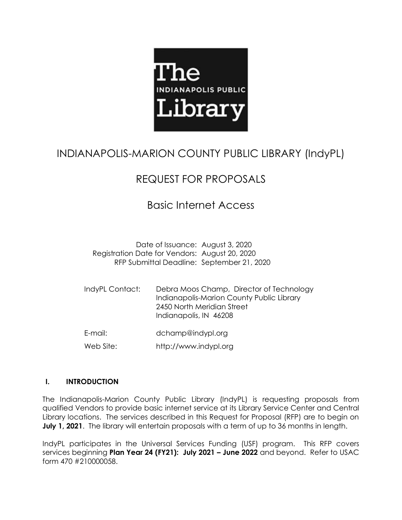

# INDIANAPOLIS-MARION COUNTY PUBLIC LIBRARY (IndyPL)

# REQUEST FOR PROPOSALS

# Basic Internet Access

Date of Issuance: August 3, 2020 Registration Date for Vendors: August 20, 2020 RFP Submittal Deadline: September 21, 2020

IndyPL Contact: Debra Moos Champ, Director of Technology Indianapolis-Marion County Public Library 2450 North Meridian Street Indianapolis, IN 46208

E-mail: dchamp@indypl.org

Web Site: http://www.indypl.org

# **I. INTRODUCTION**

The Indianapolis-Marion County Public Library (IndyPL) is requesting proposals from qualified Vendors to provide basic internet service at its Library Service Center and Central Library locations. The services described in this Request for Proposal (RFP) are to begin on **July 1, 2021**. The library will entertain proposals with a term of up to 36 months in length.

IndyPL participates in the Universal Services Funding (USF) program. This RFP covers services beginning **Plan Year 24 (FY21): July 2021 – June 2022** and beyond. Refer to USAC form 470 #210000058.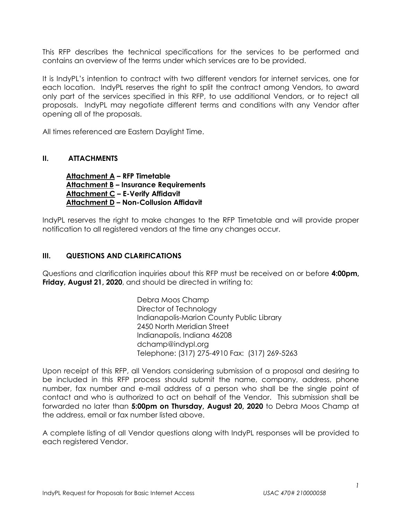This RFP describes the technical specifications for the services to be performed and contains an overview of the terms under which services are to be provided.

It is IndyPL's intention to contract with two different vendors for internet services, one for each location. IndyPL reserves the right to split the contract among Vendors, to award only part of the services specified in this RFP, to use additional Vendors, or to reject all proposals. IndyPL may negotiate different terms and conditions with any Vendor after opening all of the proposals.

All times referenced are Eastern Daylight Time.

## **II. ATTACHMENTS**

**Attachment A – RFP Timetable Attachment B – Insurance Requirements Attachment C – E-Verify Affidavit Attachment D – Non-Collusion Affidavit**

IndyPL reserves the right to make changes to the RFP Timetable and will provide proper notification to all registered vendors at the time any changes occur.

## **III. QUESTIONS AND CLARIFICATIONS**

Questions and clarification inquiries about this RFP must be received on or before **4:00pm, Friday, August 21, 2020**, and should be directed in writing to:

> Debra Moos Champ Director of Technology Indianapolis-Marion County Public Library 2450 North Meridian Street Indianapolis, Indiana 46208 dchamp@indypl.org Telephone: (317) 275-4910 Fax: (317) 269-5263

Upon receipt of this RFP, all Vendors considering submission of a proposal and desiring to be included in this RFP process should submit the name, company, address, phone number, fax number and e-mail address of a person who shall be the single point of contact and who is authorized to act on behalf of the Vendor. This submission shall be forwarded no later than **5:00pm on Thursday, August 20, 2020** to Debra Moos Champ at the address, email or fax number listed above.

A complete listing of all Vendor questions along with IndyPL responses will be provided to each registered Vendor.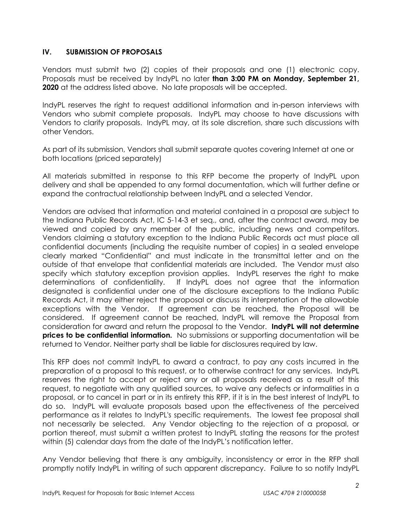## **IV. SUBMISSION OF PROPOSALS**

Vendors must submit two (2) copies of their proposals and one (1) electronic copy. Proposals must be received by IndyPL no later **than 3:00 PM on Monday, September 21, 2020** at the address listed above. No late proposals will be accepted.

IndyPL reserves the right to request additional information and in-person interviews with Vendors who submit complete proposals. IndyPL may choose to have discussions with Vendors to clarify proposals. IndyPL may, at its sole discretion, share such discussions with other Vendors.

As part of its submission, Vendors shall submit separate quotes covering Internet at one or both locations (priced separately)

All materials submitted in response to this RFP become the property of IndyPL upon delivery and shall be appended to any formal documentation, which will further define or expand the contractual relationship between IndyPL and a selected Vendor.

Vendors are advised that information and material contained in a proposal are subject to the Indiana Public Records Act, IC 5-14-3 et seq., and, after the contract award, may be viewed and copied by any member of the public, including news and competitors. Vendors claiming a statutory exception to the Indiana Public Records act must place all confidential documents (including the requisite number of copies) in a sealed envelope clearly marked "Confidential" and must indicate in the transmittal letter and on the outside of that envelope that confidential materials are included. The Vendor must also specify which statutory exception provision applies. IndyPL reserves the right to make determinations of confidentiality. If IndyPL does not agree that the information designated is confidential under one of the disclosure exceptions to the Indiana Public Records Act, it may either reject the proposal or discuss its interpretation of the allowable exceptions with the Vendor. If agreement can be reached, the Proposal will be considered. If agreement cannot be reached, IndyPL will remove the Proposal from consideration for award and return the proposal to the Vendor. **IndyPL will not determine prices to be confidential information.** No submissions or supporting documentation will be returned to Vendor. Neither party shall be liable for disclosures required by law.

This RFP does not commit IndyPL to award a contract, to pay any costs incurred in the preparation of a proposal to this request, or to otherwise contract for any services. IndyPL reserves the right to accept or reject any or all proposals received as a result of this request, to negotiate with any qualified sources, to waive any defects or informalities in a proposal, or to cancel in part or in its entirety this RFP, if it is in the best interest of IndyPL to do so. IndyPL will evaluate proposals based upon the effectiveness of the perceived performance as it relates to IndyPL's specific requirements. The lowest fee proposal shall not necessarily be selected. Any Vendor objecting to the rejection of a proposal, or portion thereof, must submit a written protest to IndyPL stating the reasons for the protest within (5) calendar days from the date of the IndyPL's notification letter.

Any Vendor believing that there is any ambiguity, inconsistency or error in the RFP shall promptly notify IndyPL in writing of such apparent discrepancy. Failure to so notify IndyPL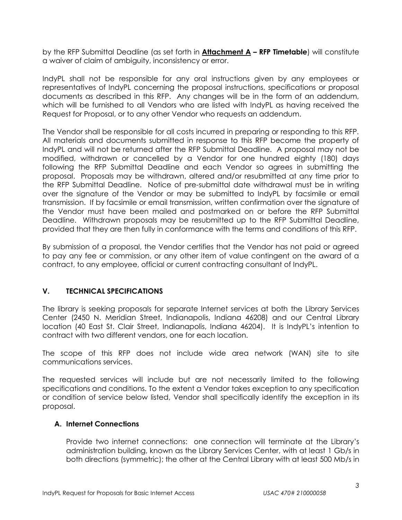by the RFP Submittal Deadline (as set forth in **Attachment A – RFP Timetable**) will constitute a waiver of claim of ambiguity, inconsistency or error.

IndyPL shall not be responsible for any oral instructions given by any employees or representatives of IndyPL concerning the proposal instructions, specifications or proposal documents as described in this RFP. Any changes will be in the form of an addendum, which will be furnished to all Vendors who are listed with IndyPL as having received the Request for Proposal, or to any other Vendor who requests an addendum.

The Vendor shall be responsible for all costs incurred in preparing or responding to this RFP. All materials and documents submitted in response to this RFP become the property of IndyPL and will not be returned after the RFP Submittal Deadline. A proposal may not be modified, withdrawn or cancelled by a Vendor for one hundred eighty (180) days following the RFP Submittal Deadline and each Vendor so agrees in submitting the proposal. Proposals may be withdrawn, altered and/or resubmitted at any time prior to the RFP Submittal Deadline. Notice of pre-submittal date withdrawal must be in writing over the signature of the Vendor or may be submitted to IndyPL by facsimile or email transmission. If by facsimile or email transmission, written confirmation over the signature of the Vendor must have been mailed and postmarked on or before the RFP Submittal Deadline. Withdrawn proposals may be resubmitted up to the RFP Submittal Deadline, provided that they are then fully in conformance with the terms and conditions of this RFP.

By submission of a proposal, the Vendor certifies that the Vendor has not paid or agreed to pay any fee or commission, or any other item of value contingent on the award of a contract, to any employee, official or current contracting consultant of IndyPL.

# **V. TECHNICAL SPECIFICATIONS**

The library is seeking proposals for separate Internet services at both the Library Services Center (2450 N. Meridian Street, Indianapolis, Indiana 46208) and our Central Library location (40 East St. Clair Street, Indianapolis, Indiana 46204). It is IndyPL's intention to contract with two different vendors, one for each location.

The scope of this RFP does not include wide area network (WAN) site to site communications services.

The requested services will include but are not necessarily limited to the following specifications and conditions. To the extent a Vendor takes exception to any specification or condition of service below listed, Vendor shall specifically identify the exception in its proposal.

## **A. Internet Connections**

Provide two internet connections: one connection will terminate at the Library's administration building, known as the Library Services Center, with at least 1 Gb/s in both directions (symmetric); the other at the Central Library with at least 500 Mb/s in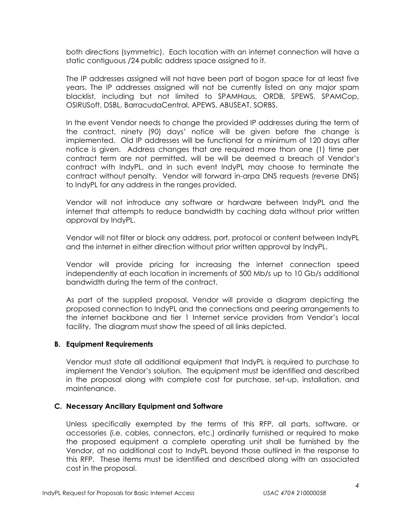both directions (symmetric). Each location with an internet connection will have a static contiguous /24 public address space assigned to it.

The IP addresses assigned will not have been part of bogon space for at least five years. The IP addresses assigned will not be currently listed on any major spam blacklist, including but not limited to SPAMHaus, ORDB, SPEWS, SPAMCop, OSIRUSoft, DSBL, BarracudaCentral, APEWS, ABUSEAT, SORBS.

In the event Vendor needs to change the provided IP addresses during the term of the contract, ninety (90) days' notice will be given before the change is implemented. Old IP addresses will be functional for a minimum of 120 days after notice is given. Address changes that are required more than one (1) time per contract term are not permitted, will be will be deemed a breach of Vendor's contract with IndyPL, and in such event IndyPL may choose to terminate the contract without penalty. Vendor will forward in-arpa DNS requests (reverse DNS) to IndyPL for any address in the ranges provided.

Vendor will not introduce any software or hardware between IndyPL and the internet that attempts to reduce bandwidth by caching data without prior written approval by IndyPL.

Vendor will not filter or block any address, port, protocol or content between IndyPL and the internet in either direction without prior written approval by IndyPL.

Vendor will provide pricing for increasing the internet connection speed independently at each location in increments of 500 Mb/s up to 10 Gb/s additional bandwidth during the term of the contract.

As part of the supplied proposal, Vendor will provide a diagram depicting the proposed connection to IndyPL and the connections and peering arrangements to the internet backbone and tier 1 Internet service providers from Vendor's local facility. The diagram must show the speed of all links depicted.

## **B. Equipment Requirements**

Vendor must state all additional equipment that IndyPL is required to purchase to implement the Vendor's solution. The equipment must be identified and described in the proposal along with complete cost for purchase, set-up, installation, and maintenance.

## **C. Necessary Ancillary Equipment and Software**

Unless specifically exempted by the terms of this RFP, all parts, software, or accessories (i.e. cables, connectors, etc.) ordinarily furnished or required to make the proposed equipment a complete operating unit shall be furnished by the Vendor, at no additional cost to IndyPL beyond those outlined in the response to this RFP. These items must be identified and described along with an associated cost in the proposal.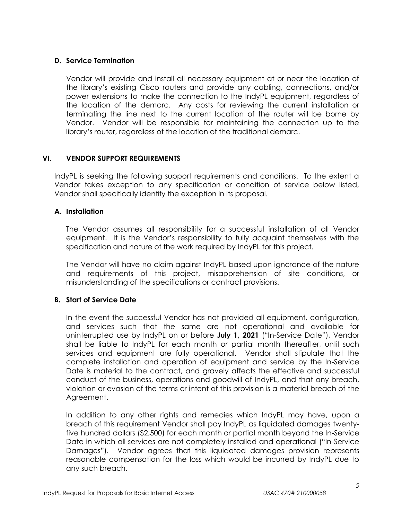# **D. Service Termination**

Vendor will provide and install all necessary equipment at or near the location of the library's existing Cisco routers and provide any cabling, connections, and/or power extensions to make the connection to the IndyPL equipment, regardless of the location of the demarc. Any costs for reviewing the current installation or terminating the line next to the current location of the router will be borne by Vendor. Vendor will be responsible for maintaining the connection up to the library's router, regardless of the location of the traditional demarc.

# **VI. VENDOR SUPPORT REQUIREMENTS**

IndyPL is seeking the following support requirements and conditions. To the extent a Vendor takes exception to any specification or condition of service below listed, Vendor shall specifically identify the exception in its proposal.

## **A. Installation**

The Vendor assumes all responsibility for a successful installation of all Vendor equipment. It is the Vendor's responsibility to fully acquaint themselves with the specification and nature of the work required by IndyPL for this project.

The Vendor will have no claim against IndyPL based upon ignorance of the nature and requirements of this project, misapprehension of site conditions, or misunderstanding of the specifications or contract provisions.

# **B. Start of Service Date**

In the event the successful Vendor has not provided all equipment, configuration, and services such that the same are not operational and available for uninterrupted use by IndyPL on or before **July 1, 2021** ("In-Service Date"), Vendor shall be liable to IndyPL for each month or partial month thereafter, until such services and equipment are fully operational. Vendor shall stipulate that the complete installation and operation of equipment and service by the In-Service Date is material to the contract, and gravely affects the effective and successful conduct of the business, operations and goodwill of IndyPL, and that any breach, violation or evasion of the terms or intent of this provision is a material breach of the Agreement.

In addition to any other rights and remedies which IndyPL may have, upon a breach of this requirement Vendor shall pay IndyPL as liquidated damages twentyfive hundred dollars (\$2,500) for each month or partial month beyond the In-Service Date in which all services are not completely installed and operational ("In-Service Damages"). Vendor agrees that this liquidated damages provision represents reasonable compensation for the loss which would be incurred by IndyPL due to any such breach.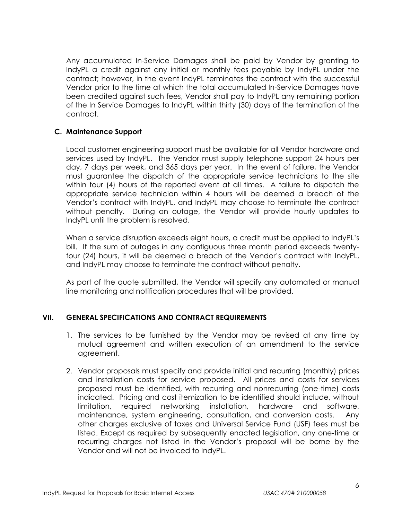Any accumulated In-Service Damages shall be paid by Vendor by granting to IndyPL a credit against any initial or monthly fees payable by IndyPL under the contract; however, in the event IndyPL terminates the contract with the successful Vendor prior to the time at which the total accumulated In-Service Damages have been credited against such fees, Vendor shall pay to IndyPL any remaining portion of the In Service Damages to IndyPL within thirty (30) days of the termination of the contract.

## **C. Maintenance Support**

Local customer engineering support must be available for all Vendor hardware and services used by IndyPL. The Vendor must supply telephone support 24 hours per day, 7 days per week, and 365 days per year. In the event of failure, the Vendor must guarantee the dispatch of the appropriate service technicians to the site within four (4) hours of the reported event at all times. A failure to dispatch the appropriate service technician within 4 hours will be deemed a breach of the Vendor's contract with IndyPL, and IndyPL may choose to terminate the contract without penalty. During an outage, the Vendor will provide hourly updates to IndyPL until the problem is resolved.

When a service disruption exceeds eight hours, a credit must be applied to IndyPL's bill. If the sum of outages in any contiguous three month period exceeds twentyfour (24) hours, it will be deemed a breach of the Vendor's contract with IndyPL, and IndyPL may choose to terminate the contract without penalty.

As part of the quote submitted, the Vendor will specify any automated or manual line monitoring and notification procedures that will be provided.

## **VII. GENERAL SPECIFICATIONS AND CONTRACT REQUIREMENTS**

- 1. The services to be furnished by the Vendor may be revised at any time by mutual agreement and written execution of an amendment to the service agreement.
- 2. Vendor proposals must specify and provide initial and recurring (monthly) prices and installation costs for service proposed. All prices and costs for services proposed must be identified, with recurring and nonrecurring (one-time) costs indicated. Pricing and cost itemization to be identified should include, without limitation, required networking installation, hardware and software, maintenance, system engineering, consultation, and conversion costs. Any other charges exclusive of taxes and Universal Service Fund (USF) fees must be listed. Except as required by subsequently enacted legislation, any one-time or recurring charges not listed in the Vendor's proposal will be borne by the Vendor and will not be invoiced to IndyPL.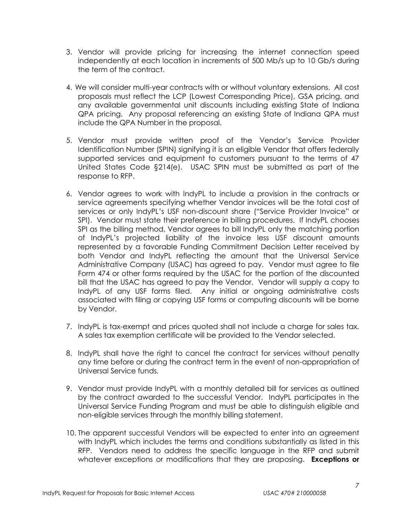- 3. Vendor will provide pricing for increasing the internet connection speed independently at each location in increments of 500 Mb/s up to 10 Gb/s during the term of the contract.
- 4. We will consider multi-year contracts with or without voluntary extensions. All cost proposals must reflect the LCP (Lowest Corresponding Price), GSA pricing, and any available governmental unit discounts including existing State of Indiana QPA pricing. Any proposal referencing an existing State of Indiana QPA must include the QPA Number in the proposal.
- 5. Vendor must provide written proof of the Vendor's Service Provider Identification Number (SPIN) signifying it is an eligible Vendor that offers federally supported services and equipment to customers pursuant to the terms of 47 United States Code §214(e). USAC SPIN must be submitted as part of the response to RFP.
- 6. Vendor agrees to work with IndyPL to include a provision in the contracts or service agreements specifying whether Vendor invoices will be the total cost of services or only IndyPL's USF non-discount share ("Service Provider Invoice" or SPI). Vendor must state their preference in billing procedures. If IndyPL chooses SPI as the billing method, Vendor agrees to bill IndyPL only the matching portion of IndyPL's projected liability of the invoice less USF discount amounts represented by a favorable Funding Commitment Decision Letter received by both Vendor and IndyPL reflecting the amount that the Universal Service Administrative Company (USAC) has agreed to pay. Vendor must agree to file Form 474 or other forms required by the USAC for the portion of the discounted bill that the USAC has agreed to pay the Vendor. Vendor will supply a copy to IndyPL of any USF forms filed. Any initial or ongoing administrative costs associated with filing or copying USF forms or computing discounts will be borne by Vendor.
- 7. IndyPL is tax-exempt and prices quoted shall not include a charge for sales tax. A sales tax exemption certificate will be provided to the Vendor selected.
- 8. IndyPL shall have the right to cancel the contract for services without penalty any time before or during the contract term in the event of non-appropriation of Universal Service funds.
- 9. Vendor must provide IndyPL with a monthly detailed bill for services as outlined by the contract awarded to the successful Vendor. IndyPL participates in the Universal Service Funding Program and must be able to distinguish eligible and non-eligible services through the monthly billing statement.
- 10. The apparent successful Vendors will be expected to enter into an agreement with IndyPL which includes the terms and conditions substantially as listed in this RFP. Vendors need to address the specific language in the RFP and submit whatever exceptions or modifications that they are proposing. **Exceptions or**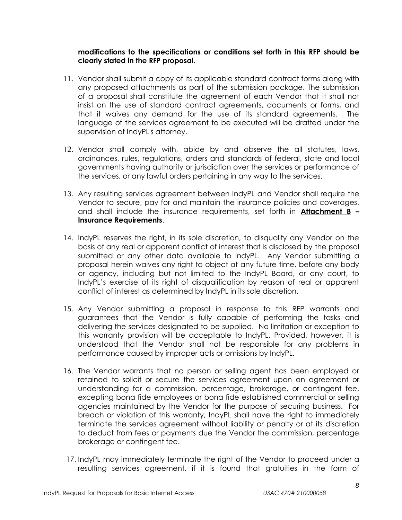## **modifications to the specifications or conditions set forth in this RFP should be clearly stated in the RFP proposal.**

- 11. Vendor shall submit a copy of its applicable standard contract forms along with any proposed attachments as part of the submission package. The submission of a proposal shall constitute the agreement of each Vendor that it shall not insist on the use of standard contract agreements, documents or forms, and that it waives any demand for the use of its standard agreements. The language of the services agreement to be executed will be drafted under the supervision of IndyPL's attorney.
- 12. Vendor shall comply with, abide by and observe the all statutes, laws, ordinances, rules, regulations, orders and standards of federal, state and local governments having authority or jurisdiction over the services or performance of the services, or any lawful orders pertaining in any way to the services.
- 13. Any resulting services agreement between IndyPL and Vendor shall require the Vendor to secure, pay for and maintain the insurance policies and coverages, and shall include the insurance requirements, set forth in **Attachment B – Insurance Requirements**.
- 14. IndyPL reserves the right, in its sole discretion, to disqualify any Vendor on the basis of any real or apparent conflict of interest that is disclosed by the proposal submitted or any other data available to IndyPL. Any Vendor submitting a proposal herein waives any right to object at any future time, before any body or agency, including but not limited to the IndyPL Board, or any court, to IndyPL's exercise of its right of disqualification by reason of real or apparent conflict of interest as determined by IndyPL in its sole discretion.
- 15. Any Vendor submitting a proposal in response to this RFP warrants and guarantees that the Vendor is fully capable of performing the tasks and delivering the services designated to be supplied. No limitation or exception to this warranty provision will be acceptable to IndyPL. Provided, however, it is understood that the Vendor shall not be responsible for any problems in performance caused by improper acts or omissions by IndyPL.
- 16. The Vendor warrants that no person or selling agent has been employed or retained to solicit or secure the services agreement upon an agreement or understanding for a commission, percentage, brokerage, or contingent fee, excepting bona fide employees or bona fide established commercial or selling agencies maintained by the Vendor for the purpose of securing business. For breach or violation of this warranty, IndyPL shall have the right to immediately terminate the services agreement without liability or penalty or at its discretion to deduct from fees or payments due the Vendor the commission, percentage brokerage or contingent fee.
- 17. IndyPL may immediately terminate the right of the Vendor to proceed under a resulting services agreement, if it is found that gratuities in the form of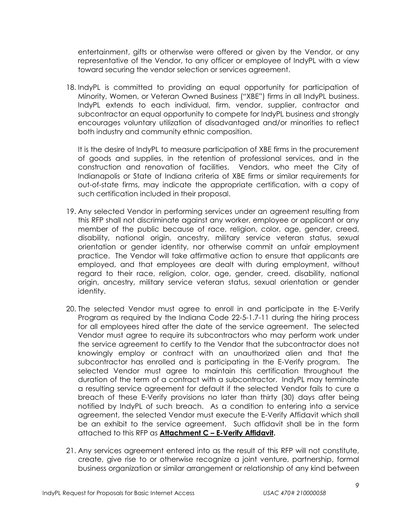entertainment, gifts or otherwise were offered or given by the Vendor, or any representative of the Vendor, to any officer or employee of IndyPL with a view toward securing the vendor selection or services agreement.

18. IndyPL is committed to providing an equal opportunity for participation of Minority, Women, or Veteran Owned Business ("XBE") firms in all IndyPL business. IndyPL extends to each individual, firm, vendor, supplier, contractor and subcontractor an equal opportunity to compete for IndyPL business and strongly encourages voluntary utilization of disadvantaged and/or minorities to reflect both industry and community ethnic composition.

It is the desire of IndyPL to measure participation of XBE firms in the procurement of goods and supplies, in the retention of professional services, and in the construction and renovation of facilities. Vendors, who meet the City of Indianapolis or State of Indiana criteria of XBE firms or similar requirements for out-of-state firms, may indicate the appropriate certification, with a copy of such certification included in their proposal.

- 19. Any selected Vendor in performing services under an agreement resulting from this RFP shall not discriminate against any worker, employee or applicant or any member of the public because of race, religion, color, age, gender, creed, disability, national origin, ancestry, military service veteran status, sexual orientation or gender identity, nor otherwise commit an unfair employment practice. The Vendor will take affirmative action to ensure that applicants are employed, and that employees are dealt with during employment, without regard to their race, religion, color, age, gender, creed, disability, national origin, ancestry, military service veteran status, sexual orientation or gender identity.
- 20. The selected Vendor must agree to enroll in and participate in the E-Verify Program as required by the Indiana Code 22-5-1.7-11 during the hiring process for all employees hired after the date of the service agreement. The selected Vendor must agree to require its subcontractors who may perform work under the service agreement to certify to the Vendor that the subcontractor does not knowingly employ or contract with an unauthorized alien and that the subcontractor has enrolled and is participating in the E-Verify program. The selected Vendor must agree to maintain this certification throughout the duration of the term of a contract with a subcontractor. IndyPL may terminate a resulting service agreement for default if the selected Vendor fails to cure a breach of these E-Verify provisions no later than thirty (30) days after being notified by IndyPL of such breach. As a condition to entering into a service agreement, the selected Vendor must execute the E-Verify Affidavit which shall be an exhibit to the service agreement. Such affidavit shall be in the form attached to this RFP as **Attachment C – E-Verify Affidavit.**
- 21. Any services agreement entered into as the result of this RFP will not constitute, create, give rise to or otherwise recognize a joint venture, partnership, formal business organization or similar arrangement or relationship of any kind between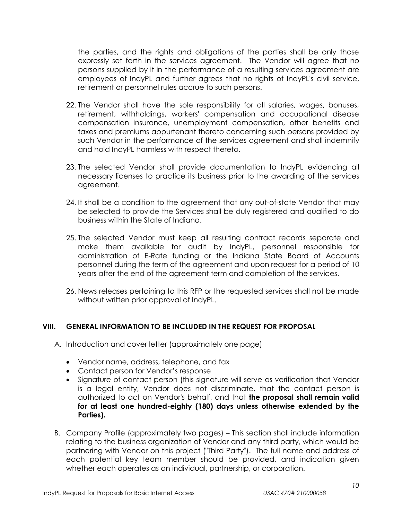the parties, and the rights and obligations of the parties shall be only those expressly set forth in the services agreement. The Vendor will agree that no persons supplied by it in the performance of a resulting services agreement are employees of IndyPL and further agrees that no rights of IndyPL's civil service, retirement or personnel rules accrue to such persons.

- 22. The Vendor shall have the sole responsibility for all salaries, wages, bonuses, retirement, withholdings, workers' compensation and occupational disease compensation insurance, unemployment compensation, other benefits and taxes and premiums appurtenant thereto concerning such persons provided by such Vendor in the performance of the services agreement and shall indemnify and hold IndyPL harmless with respect thereto.
- 23. The selected Vendor shall provide documentation to IndyPL evidencing all necessary licenses to practice its business prior to the awarding of the services agreement.
- 24. It shall be a condition to the agreement that any out-of-state Vendor that may be selected to provide the Services shall be duly registered and qualified to do business within the State of Indiana.
- 25. The selected Vendor must keep all resulting contract records separate and make them available for audit by IndyPL, personnel responsible for administration of E-Rate funding or the Indiana State Board of Accounts personnel during the term of the agreement and upon request for a period of 10 years after the end of the agreement term and completion of the services.
- 26. News releases pertaining to this RFP or the requested services shall not be made without written prior approval of IndyPL.

## **VIII. GENERAL INFORMATION TO BE INCLUDED IN THE REQUEST FOR PROPOSAL**

- A. Introduction and cover letter (approximately one page)
	- Vendor name, address, telephone, and fax
	- Contact person for Vendor's response
	- Signature of contact person (this signature will serve as verification that Vendor is a legal entity, Vendor does not discriminate, that the contact person is authorized to act on Vendor's behalf, and that **the proposal shall remain valid for at least one hundred-eighty (180) days unless otherwise extended by the Parties).**
- B. Company Profile (approximately two pages) This section shall include information relating to the business organization of Vendor and any third party, which would be partnering with Vendor on this project ("Third Party"). The full name and address of each potential key team member should be provided, and indication given whether each operates as an individual, partnership, or corporation.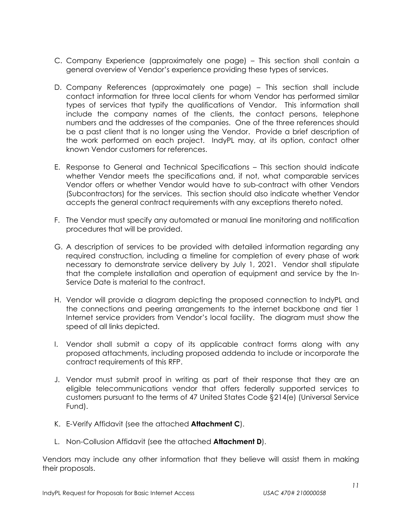- C. Company Experience (approximately one page) This section shall contain a general overview of Vendor's experience providing these types of services.
- D. Company References (approximately one page) This section shall include contact information for three local clients for whom Vendor has performed similar types of services that typify the qualifications of Vendor. This information shall include the company names of the clients, the contact persons, telephone numbers and the addresses of the companies. One of the three references should be a past client that is no longer using the Vendor. Provide a brief description of the work performed on each project. IndyPL may, at its option, contact other known Vendor customers for references.
- E. Response to General and Technical Specifications This section should indicate whether Vendor meets the specifications and, if not, what comparable services Vendor offers or whether Vendor would have to sub-contract with other Vendors (Subcontractors) for the services. This section should also indicate whether Vendor accepts the general contract requirements with any exceptions thereto noted.
- F. The Vendor must specify any automated or manual line monitoring and notification procedures that will be provided.
- G. A description of services to be provided with detailed information regarding any required construction, including a timeline for completion of every phase of work necessary to demonstrate service delivery by July 1, 2021. Vendor shall stipulate that the complete installation and operation of equipment and service by the In-Service Date is material to the contract.
- H. Vendor will provide a diagram depicting the proposed connection to IndyPL and the connections and peering arrangements to the internet backbone and tier 1 Internet service providers from Vendor's local facility. The diagram must show the speed of all links depicted.
- I. Vendor shall submit a copy of its applicable contract forms along with any proposed attachments, including proposed addenda to include or incorporate the contract requirements of this RFP.
- J. Vendor must submit proof in writing as part of their response that they are an eligible telecommunications vendor that offers federally supported services to customers pursuant to the terms of 47 United States Code §214(e) (Universal Service Fund).
- K. E-Verify Affidavit (see the attached **Attachment C**).
- L. Non-Collusion Affidavit (see the attached **Attachment D**).

Vendors may include any other information that they believe will assist them in making their proposals.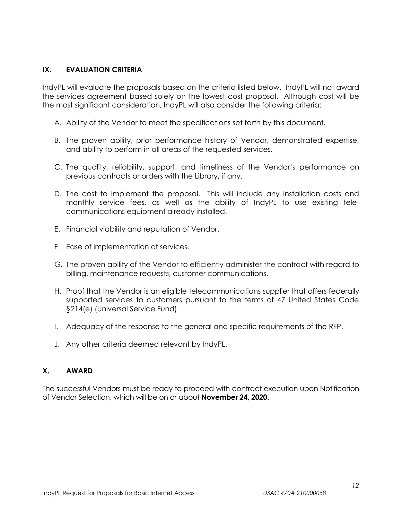## **IX. EVALUATION CRITERIA**

IndyPL will evaluate the proposals based on the criteria listed below. IndyPL will not award the services agreement based solely on the lowest cost proposal. Although cost will be the most significant consideration, IndyPL will also consider the following criteria:

- A. Ability of the Vendor to meet the specifications set forth by this document.
- B. The proven ability, prior performance history of Vendor, demonstrated expertise, and ability to perform in all areas of the requested services.
- C. The quality, reliability, support, and timeliness of the Vendor's performance on previous contracts or orders with the Library, if any.
- D. The cost to implement the proposal. This will include any installation costs and monthly service fees, as well as the ability of IndyPL to use existing telecommunications equipment already installed.
- E. Financial viability and reputation of Vendor.
- F. Ease of implementation of services.
- G. The proven ability of the Vendor to efficiently administer the contract with regard to billing, maintenance requests, customer communications.
- H. Proof that the Vendor is an eligible telecommunications supplier that offers federally supported services to customers pursuant to the terms of 47 United States Code §214(e) (Universal Service Fund).
- I. Adequacy of the response to the general and specific requirements of the RFP.
- J. Any other criteria deemed relevant by IndyPL.

# **X. AWARD**

The successful Vendors must be ready to proceed with contract execution upon Notification of Vendor Selection, which will be on or about **November 24, 2020**.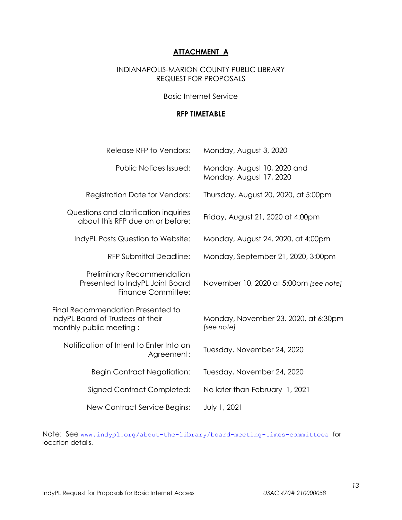# **ATTACHMENT A**

# INDIANAPOLIS-MARION COUNTY PUBLIC LIBRARY REQUEST FOR PROPOSALS

#### Basic Internet Service

#### **RFP TIMETABLE**

| Release RFP to Vendors:                                                                           | Monday, August 3, 2020                                 |
|---------------------------------------------------------------------------------------------------|--------------------------------------------------------|
| <b>Public Notices Issued:</b>                                                                     | Monday, August 10, 2020 and<br>Monday, August 17, 2020 |
| <b>Registration Date for Vendors:</b>                                                             | Thursday, August 20, 2020, at 5:00pm                   |
| Questions and clarification inquiries<br>about this RFP due on or before:                         | Friday, August 21, 2020 at 4:00pm                      |
| IndyPL Posts Question to Website:                                                                 | Monday, August 24, 2020, at 4:00pm                     |
| <b>RFP Submittal Deadline:</b>                                                                    | Monday, September 21, 2020, 3:00pm                     |
| Preliminary Recommendation<br>Presented to IndyPL Joint Board<br><b>Finance Committee:</b>        | November 10, 2020 at 5:00pm [see note]                 |
| Final Recommendation Presented to<br>IndyPL Board of Trustees at their<br>monthly public meeting: | Monday, November 23, 2020, at 6:30pm<br>[see note]     |
| Notification of Intent to Enter Into an<br>Agreement:                                             | Tuesday, November 24, 2020                             |
| <b>Begin Contract Negotiation:</b>                                                                | Tuesday, November 24, 2020                             |
| Signed Contract Completed:                                                                        | No later than February 1, 2021                         |
| New Contract Service Begins:                                                                      | July 1, 2021                                           |

Note: See [www.indypl.org/about-the-library/board-meeting-times-committees](http://www.indypl.org/about-the-library/board-meeting-times-committees) for location details.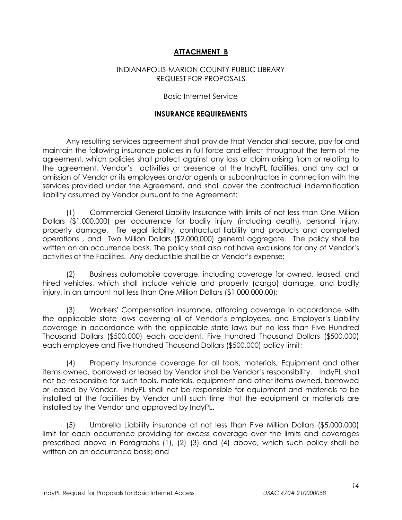# **ATTACHMENT B**

#### INDIANAPOLIS-MARION COUNTY PUBLIC LIBRARY REQUEST FOR PROPOSALS

#### Basic Internet Service

#### **INSURANCE REQUIREMENTS**

Any resulting services agreement shall provide that Vendor shall secure, pay for and maintain the following insurance policies in full force and effect throughout the term of the agreement, which policies shall protect against any loss or claim arising from or relating to the agreement, Vendor's activities or presence at the IndyPL facilities, and any act or omission of Vendor or its employees and/or agents or subcontractors in connection with the services provided under the Agreement, and shall cover the contractual indemnification liability assumed by Vendor pursuant to the Agreement:

(1) Commercial General Liability Insurance with limits of not less than One Million Dollars (\$1,000,000) per occurrence for bodily injury (including death), personal injury, property damage, fire legal liability, contractual liability and products and completed operations , and Two Million Dollars (\$2,000,000) general aggregate. The policy shall be written on an occurrence basis. The policy shall also not have exclusions for any of Vendor's activities at the Facilities. Any deductible shall be at Vendor's expense;

(2) Business automobile coverage, including coverage for owned, leased, and hired vehicles, which shall include vehicle and property (cargo) damage, and bodily injury, in an amount not less than One Million Dollars (\$1,000,000.00);

(3) Workers' Compensation insurance, affording coverage in accordance with the applicable state laws covering all of Vendor's employees, and Employer's Liability coverage in accordance with the applicable state laws but no less than Five Hundred Thousand Dollars (\$500,000) each accident, Five Hundred Thousand Dollars (\$500,000) each employee and Five Hundred Thousand Dollars (\$500,000) policy limit;

(4) Property Insurance coverage for all tools, materials, Equipment and other items owned, borrowed or leased by Vendor shall be Vendor's responsibility. IndyPL shall not be responsible for such tools, materials, equipment and other items owned, borrowed or leased by Vendor. IndyPL shall not be responsible for equipment and materials to be installed at the facilities by Vendor until such time that the equipment or materials are installed by the Vendor and approved by IndyPL.

(5) Umbrella Liability insurance at not less than Five Million Dollars (\$5,000,000) limit for each occurrence providing for excess coverage over the limits and coverages prescribed above in Paragraphs (1), (2) (3) and (4) above, which such policy shall be written on an occurrence basis; and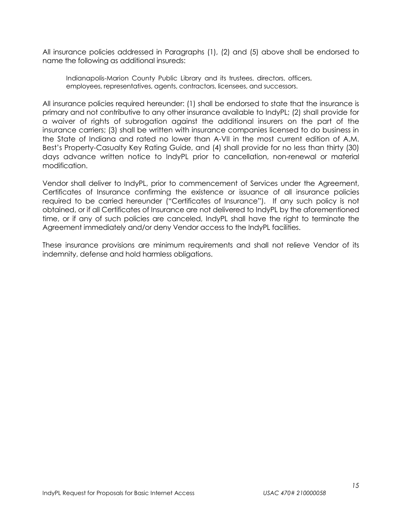All insurance policies addressed in Paragraphs (1), (2) and (5) above shall be endorsed to name the following as additional insureds:

Indianapolis-Marion County Public Library and its trustees, directors, officers, employees, representatives, agents, contractors, licensees, and successors.

All insurance policies required hereunder: (1) shall be endorsed to state that the insurance is primary and not contributive to any other insurance available to IndyPL; (2) shall provide for a waiver of rights of subrogation against the additional insurers on the part of the insurance carriers; (3) shall be written with insurance companies licensed to do business in the State of Indiana and rated no lower than A-VII in the most current edition of A.M. Best's Property-Casualty Key Rating Guide, and (4) shall provide for no less than thirty (30) days advance written notice to IndyPL prior to cancellation, non-renewal or material modification.

Vendor shall deliver to IndyPL, prior to commencement of Services under the Agreement, Certificates of Insurance confirming the existence or issuance of all insurance policies required to be carried hereunder ("Certificates of Insurance"). If any such policy is not obtained, or if all Certificates of Insurance are not delivered to IndyPL by the aforementioned time, or if any of such policies are canceled, IndyPL shall have the right to terminate the Agreement immediately and/or deny Vendor access to the IndyPL facilities.

These insurance provisions are minimum requirements and shall not relieve Vendor of its indemnity, defense and hold harmless obligations.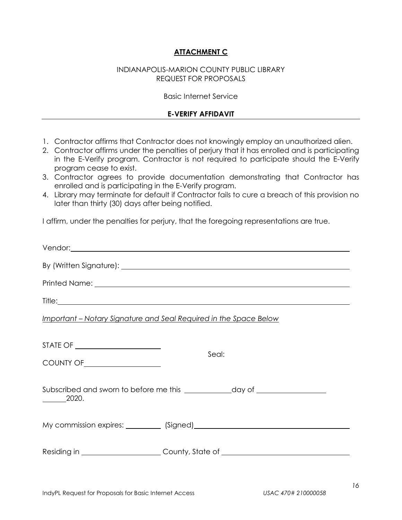# **ATTACHMENT C**

#### INDIANAPOLIS-MARION COUNTY PUBLIC LIBRARY REQUEST FOR PROPOSALS

#### Basic Internet Service

#### **E-VERIFY AFFIDAVIT**

- 1. Contractor affirms that Contractor does not knowingly employ an unauthorized alien.
- 2. Contractor affirms under the penalties of perjury that it has enrolled and is participating in the E-Verify program. Contractor is not required to participate should the E-Verify program cease to exist.
- 3. Contractor agrees to provide documentation demonstrating that Contractor has enrolled and is participating in the E-Verify program.
- 4. Library may terminate for default if Contractor fails to cure a breach of this provision no later than thirty (30) days after being notified.

I affirm, under the penalties for perjury, that the foregoing representations are true.

| <u> Important – Notary Signature and Seal Required in the Space Below</u>                                                                                                                                                                                                  |                                                                                  |  |
|----------------------------------------------------------------------------------------------------------------------------------------------------------------------------------------------------------------------------------------------------------------------------|----------------------------------------------------------------------------------|--|
| STATE OF _________________________<br>COUNTY OF <u>COUNTY OF COUNTY OF COUNTY OF COUNTY OF COUNTY OF COUNTY OF COUNTY OF COUNTY OF COUNTY OF COUNTY OF COUNTY OF COUNTY OF COUNTY OF COUNTY OF COUNTY OF COUNTY OF COUNTY OF COUNTY OF COUNTY OF COUNTY OF COUNTY OF C</u> | Seal:                                                                            |  |
| 2020.                                                                                                                                                                                                                                                                      |                                                                                  |  |
|                                                                                                                                                                                                                                                                            |                                                                                  |  |
|                                                                                                                                                                                                                                                                            | Residing in _______________________County, State of ____________________________ |  |